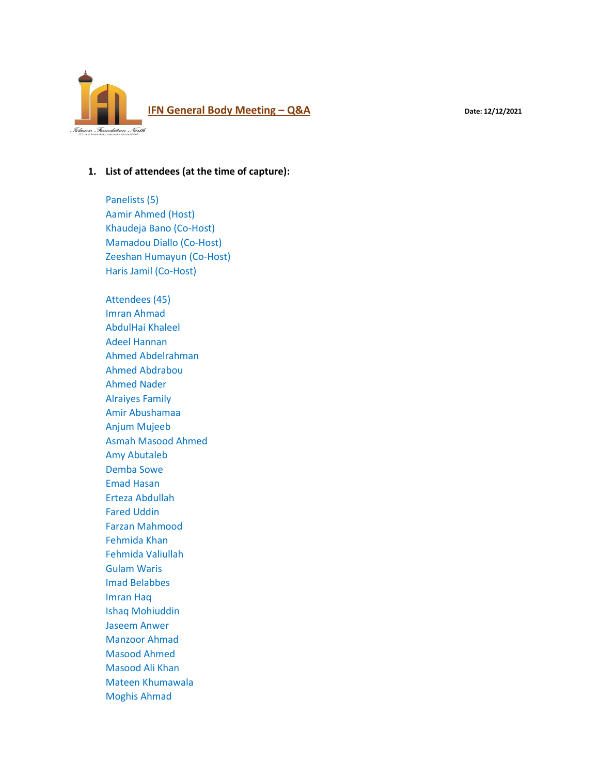

# **1. List of attendees (at the time of capture):**

Panelists (5) Aamir Ahmed (Host) Khaudeja Bano (Co-Host) Mamadou Diallo (Co-Host) Zeeshan Humayun (Co-Host) Haris Jamil (Co-Host)

Attendees (45) Imran Ahmad AbdulHai Khaleel Adeel Hannan Ahmed Abdelrahman Ahmed Abdrabou Ahmed Nader Alraiyes Family Amir Abushamaa Anjum Mujeeb Asmah Masood Ahmed Amy Abutaleb Demba Sowe Emad Hasan Erteza Abdullah Fared Uddin Farzan Mahmood Fehmida Khan Fehmida Valiullah Gulam Waris Imad Belabbes Imran Haq Ishaq Mohiuddin Jaseem Anwer Manzoor Ahmad Masood Ahmed Masood Ali Khan Mateen Khumawala Moghis Ahmad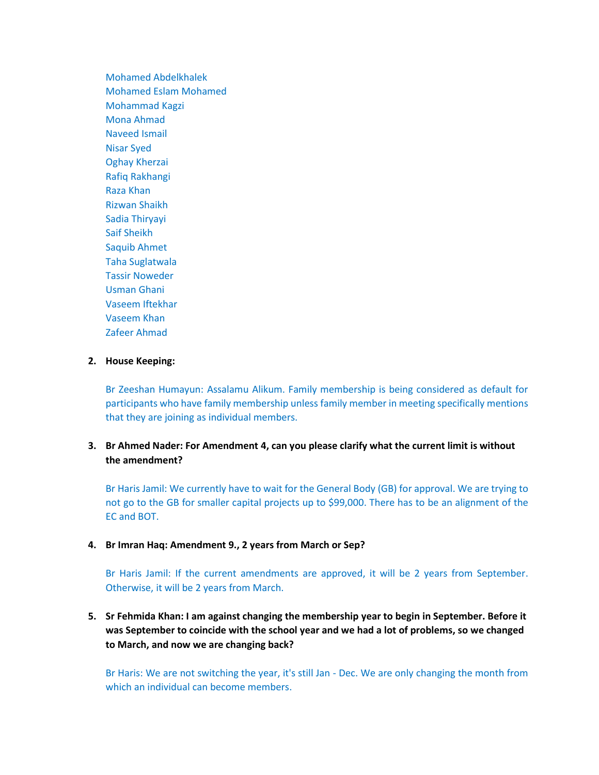Mohamed Abdelkhalek Mohamed Eslam Mohamed Mohammad Kagzi Mona Ahmad Naveed Ismail Nisar Syed Oghay Kherzai Rafiq Rakhangi Raza Khan Rizwan Shaikh Sadia Thiryayi Saif Sheikh Saquib Ahmet Taha Suglatwala Tassir Noweder Usman Ghani Vaseem Iftekhar Vaseem Khan Zafeer Ahmad

### **2. House Keeping:**

Br Zeeshan Humayun: Assalamu Alikum. Family membership is being considered as default for participants who have family membership unless family member in meeting specifically mentions that they are joining as individual members.

# **3. Br Ahmed Nader: For Amendment 4, can you please clarify what the current limit is without the amendment?**

Br Haris Jamil: We currently have to wait for the General Body (GB) for approval. We are trying to not go to the GB for smaller capital projects up to \$99,000. There has to be an alignment of the EC and BOT.

#### **4. Br Imran Haq: Amendment 9., 2 years from March or Sep?**

Br Haris Jamil: If the current amendments are approved, it will be 2 years from September. Otherwise, it will be 2 years from March.

**5. Sr Fehmida Khan: I am against changing the membership year to begin in September. Before it was September to coincide with the school year and we had a lot of problems, so we changed to March, and now we are changing back?**

Br Haris: We are not switching the year, it's still Jan - Dec. We are only changing the month from which an individual can become members.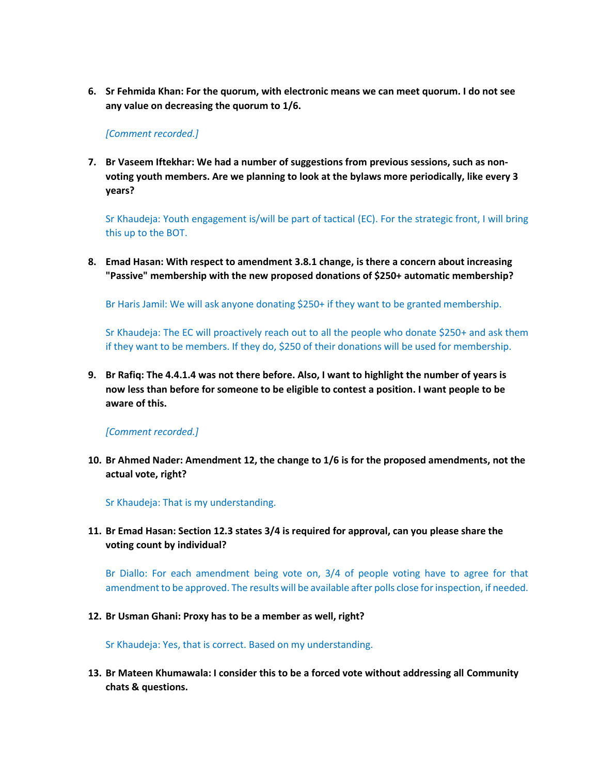**6. Sr Fehmida Khan: For the quorum, with electronic means we can meet quorum. I do not see any value on decreasing the quorum to 1/6.**

### *[Comment recorded.]*

**7. Br Vaseem Iftekhar: We had a number of suggestions from previous sessions, such as nonvoting youth members. Are we planning to look at the bylaws more periodically, like every 3 years?**

Sr Khaudeja: Youth engagement is/will be part of tactical (EC). For the strategic front, I will bring this up to the BOT.

**8. Emad Hasan: With respect to amendment 3.8.1 change, is there a concern about increasing "Passive" membership with the new proposed donations of \$250+ automatic membership?**

Br Haris Jamil: We will ask anyone donating \$250+ if they want to be granted membership.

Sr Khaudeja: The EC will proactively reach out to all the people who donate \$250+ and ask them if they want to be members. If they do, \$250 of their donations will be used for membership.

**9. Br Rafiq: The 4.4.1.4 was not there before. Also, I want to highlight the number of years is now less than before for someone to be eligible to contest a position. I want people to be aware of this.**

## *[Comment recorded.]*

**10. Br Ahmed Nader: Amendment 12, the change to 1/6 is for the proposed amendments, not the actual vote, right?**

Sr Khaudeja: That is my understanding.

**11. Br Emad Hasan: Section 12.3 states 3/4 is required for approval, can you please share the voting count by individual?**

Br Diallo: For each amendment being vote on, 3/4 of people voting have to agree for that amendment to be approved. The results will be available after polls close for inspection, if needed.

**12. Br Usman Ghani: Proxy has to be a member as well, right?**

Sr Khaudeja: Yes, that is correct. Based on my understanding.

**13. Br Mateen Khumawala: I consider this to be a forced vote without addressing all Community chats & questions.**